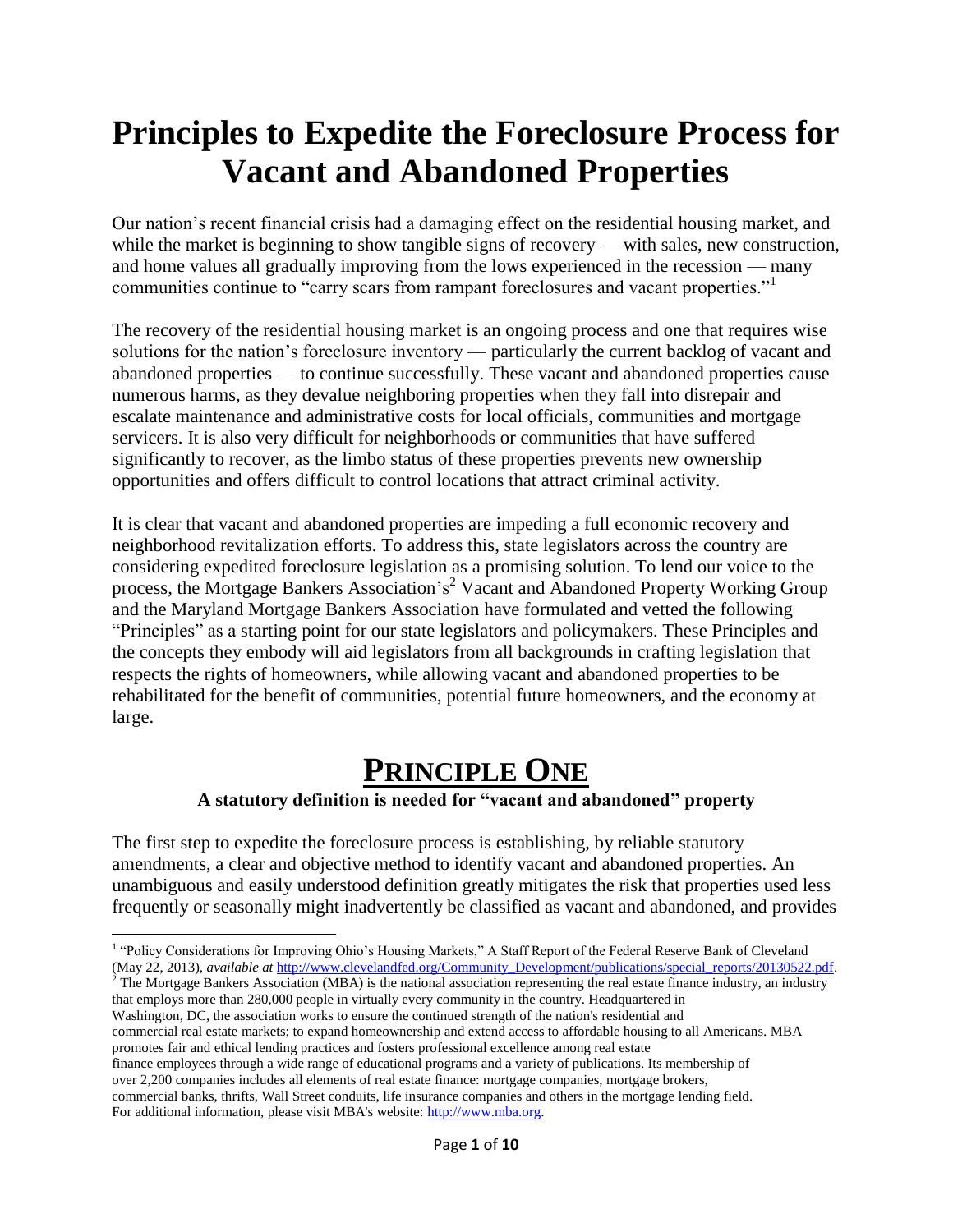# **Principles to Expedite the Foreclosure Process for Vacant and Abandoned Properties**

Our nation's recent financial crisis had a damaging effect on the residential housing market, and while the market is beginning to show tangible signs of recovery — with sales, new construction, and home values all gradually improving from the lows experienced in the recession — many communities continue to "carry scars from rampant foreclosures and vacant properties."<sup>1</sup>

The recovery of the residential housing market is an ongoing process and one that requires wise solutions for the nation's foreclosure inventory — particularly the current backlog of vacant and abandoned properties — to continue successfully. These vacant and abandoned properties cause numerous harms, as they devalue neighboring properties when they fall into disrepair and escalate maintenance and administrative costs for local officials, communities and mortgage servicers. It is also very difficult for neighborhoods or communities that have suffered significantly to recover, as the limbo status of these properties prevents new ownership opportunities and offers difficult to control locations that attract criminal activity.

It is clear that vacant and abandoned properties are impeding a full economic recovery and neighborhood revitalization efforts. To address this, state legislators across the country are considering expedited foreclosure legislation as a promising solution. To lend our voice to the process, the Mortgage Bankers Association's<sup>2</sup> Vacant and Abandoned Property Working Group and the Maryland Mortgage Bankers Association have formulated and vetted the following "Principles" as a starting point for our state legislators and policymakers. These Principles and the concepts they embody will aid legislators from all backgrounds in crafting legislation that respects the rights of homeowners, while allowing vacant and abandoned properties to be rehabilitated for the benefit of communities, potential future homeowners, and the economy at large.

## **PRINCIPLE ONE**

#### **A statutory definition is needed for "vacant and abandoned" property**

The first step to expedite the foreclosure process is establishing, by reliable statutory amendments, a clear and objective method to identify vacant and abandoned properties. An unambiguous and easily understood definition greatly mitigates the risk that properties used less frequently or seasonally might inadvertently be classified as vacant and abandoned, and provides

 $2^2$  The Mortgage Bankers Association (MBA) is the national association representing the real estate finance industry, an industry that employs more than 280,000 people in virtually every community in the country. Headquartered in

Washington, DC, the association works to ensure the continued strength of the nation's residential and commercial real estate markets; to expand homeownership and extend access to affordable housing to all Americans. MBA promotes fair and ethical lending practices and fosters professional excellence among real estate

finance employees through a wide range of educational programs and a variety of publications. Its membership of over 2,200 companies includes all elements of real estate finance: mortgage companies, mortgage brokers, commercial banks, thrifts, Wall Street conduits, life insurance companies and others in the mortgage lending field.

 $\overline{\phantom{a}}$ <sup>1</sup> "Policy Considerations for Improving Ohio's Housing Markets," A Staff Report of the Federal Reserve Bank of Cleveland (May 22, 2013), *available at* [http://www.clevelandfed.org/Community\\_Development/publications/special\\_reports/20130522.pdf.](http://www.clevelandfed.org/Community_Development/publications/special_reports/20130522.pdf)

For additional information, please visit MBA's website[: http://www.mba.org.](http://www.mba.org/)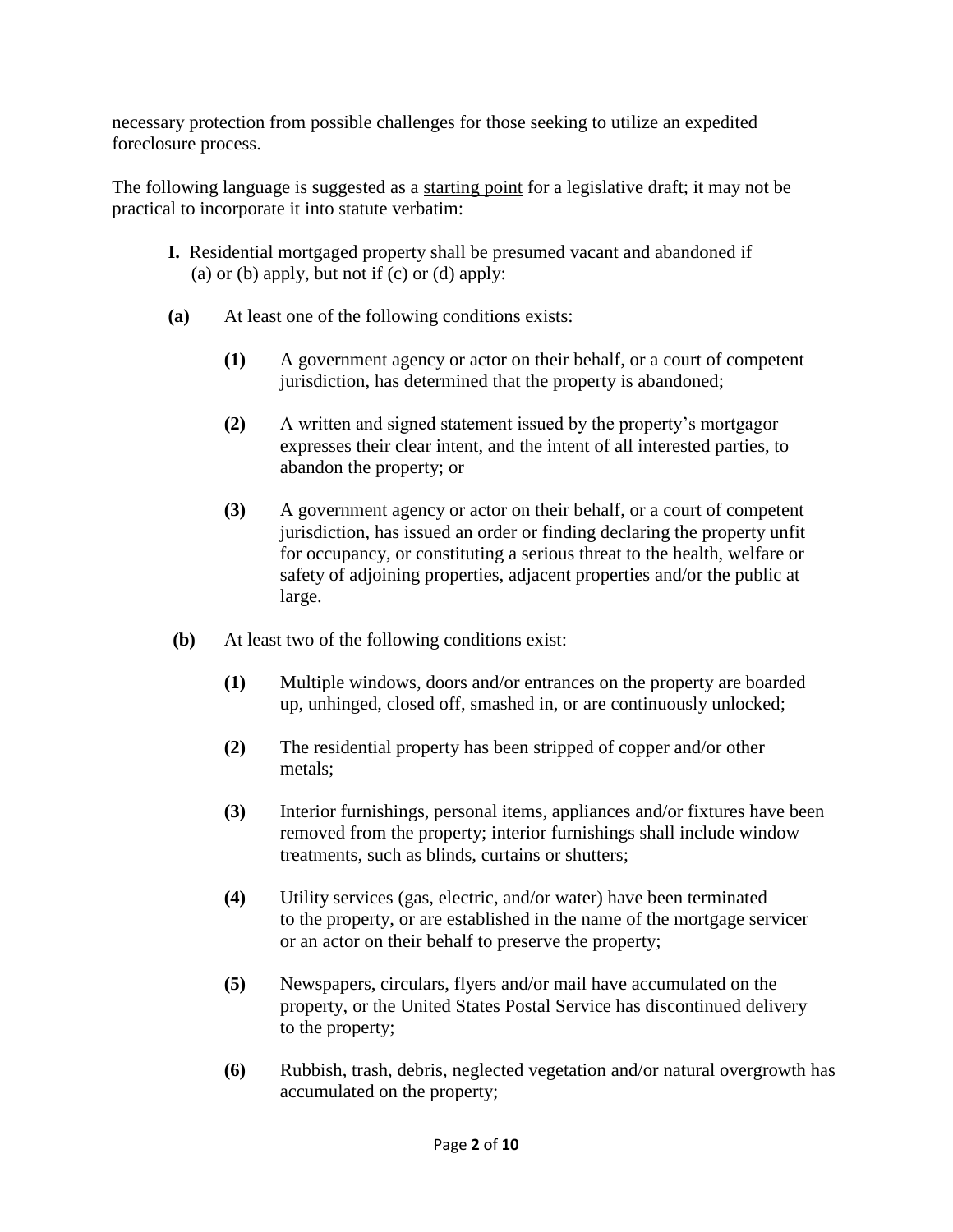necessary protection from possible challenges for those seeking to utilize an expedited foreclosure process.

The following language is suggested as a starting point for a legislative draft; it may not be practical to incorporate it into statute verbatim:

- **I.** Residential mortgaged property shall be presumed vacant and abandoned if (a) or (b) apply, but not if  $(c)$  or  $(d)$  apply:
- **(a)** At least one of the following conditions exists:
	- **(1)** A government agency or actor on their behalf, or a court of competent jurisdiction, has determined that the property is abandoned;
	- **(2)** A written and signed statement issued by the property's mortgagor expresses their clear intent, and the intent of all interested parties, to abandon the property; or
	- **(3)** A government agency or actor on their behalf, or a court of competent jurisdiction, has issued an order or finding declaring the property unfit for occupancy, or constituting a serious threat to the health, welfare or safety of adjoining properties, adjacent properties and/or the public at large.
- **(b)** At least two of the following conditions exist:
	- **(1)** Multiple windows, doors and/or entrances on the property are boarded up, unhinged, closed off, smashed in, or are continuously unlocked;
	- **(2)** The residential property has been stripped of copper and/or other metals;
	- **(3)** Interior furnishings, personal items, appliances and/or fixtures have been removed from the property; interior furnishings shall include window treatments, such as blinds, curtains or shutters;
	- **(4)** Utility services (gas, electric, and/or water) have been terminated to the property, or are established in the name of the mortgage servicer or an actor on their behalf to preserve the property;
	- **(5)** Newspapers, circulars, flyers and/or mail have accumulated on the property, or the United States Postal Service has discontinued delivery to the property;
	- **(6)** Rubbish, trash, debris, neglected vegetation and/or natural overgrowth has accumulated on the property;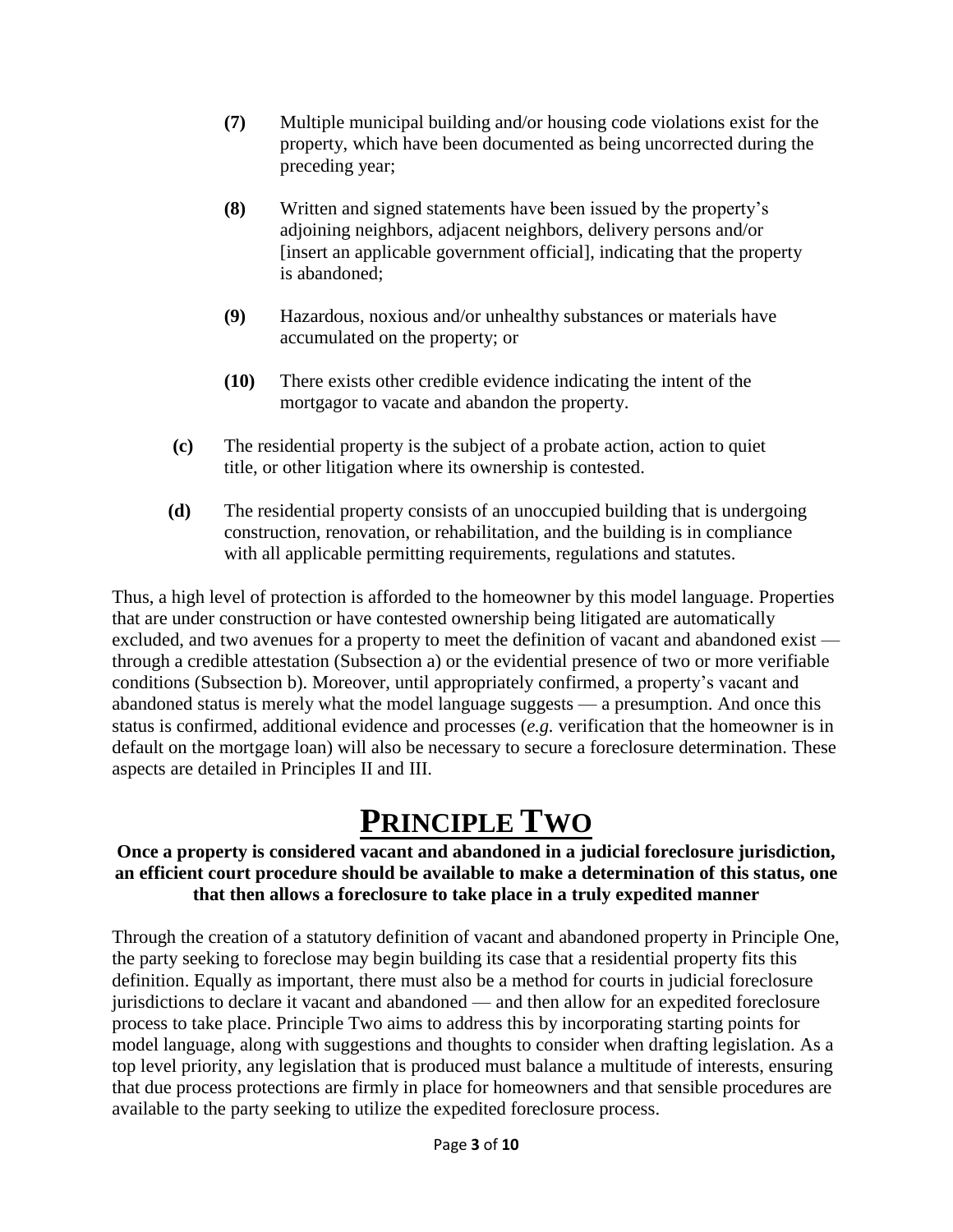- **(7)** Multiple municipal building and/or housing code violations exist for the property, which have been documented as being uncorrected during the preceding year;
- **(8)** Written and signed statements have been issued by the property's adjoining neighbors, adjacent neighbors, delivery persons and/or [insert an applicable government official], indicating that the property is abandoned;
- **(9)** Hazardous, noxious and/or unhealthy substances or materials have accumulated on the property; or
- **(10)** There exists other credible evidence indicating the intent of the mortgagor to vacate and abandon the property.
- **(c)** The residential property is the subject of a probate action, action to quiet title, or other litigation where its ownership is contested.
- **(d)** The residential property consists of an unoccupied building that is undergoing construction, renovation, or rehabilitation, and the building is in compliance with all applicable permitting requirements, regulations and statutes.

Thus, a high level of protection is afforded to the homeowner by this model language. Properties that are under construction or have contested ownership being litigated are automatically excluded, and two avenues for a property to meet the definition of vacant and abandoned exist through a credible attestation (Subsection a) or the evidential presence of two or more verifiable conditions (Subsection b). Moreover, until appropriately confirmed, a property's vacant and abandoned status is merely what the model language suggests — a presumption. And once this status is confirmed, additional evidence and processes (*e.g.* verification that the homeowner is in default on the mortgage loan) will also be necessary to secure a foreclosure determination. These aspects are detailed in Principles II and III.

### **PRINCIPLE TWO**

#### **Once a property is considered vacant and abandoned in a judicial foreclosure jurisdiction, an efficient court procedure should be available to make a determination of this status, one that then allows a foreclosure to take place in a truly expedited manner**

Through the creation of a statutory definition of vacant and abandoned property in Principle One, the party seeking to foreclose may begin building its case that a residential property fits this definition. Equally as important, there must also be a method for courts in judicial foreclosure jurisdictions to declare it vacant and abandoned — and then allow for an expedited foreclosure process to take place. Principle Two aims to address this by incorporating starting points for model language, along with suggestions and thoughts to consider when drafting legislation. As a top level priority, any legislation that is produced must balance a multitude of interests, ensuring that due process protections are firmly in place for homeowners and that sensible procedures are available to the party seeking to utilize the expedited foreclosure process.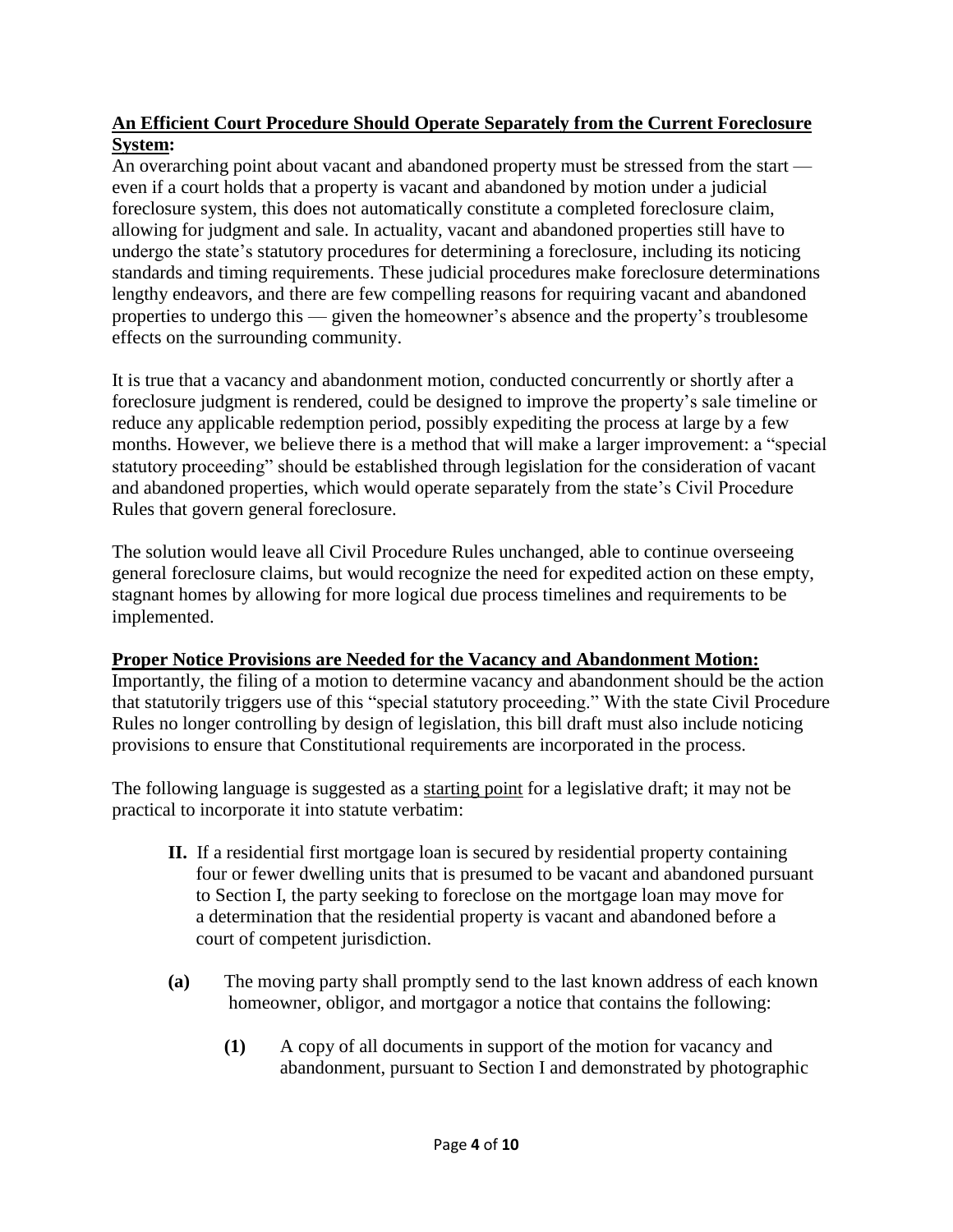#### **An Efficient Court Procedure Should Operate Separately from the Current Foreclosure System:**

An overarching point about vacant and abandoned property must be stressed from the start even if a court holds that a property is vacant and abandoned by motion under a judicial foreclosure system, this does not automatically constitute a completed foreclosure claim, allowing for judgment and sale. In actuality, vacant and abandoned properties still have to undergo the state's statutory procedures for determining a foreclosure, including its noticing standards and timing requirements. These judicial procedures make foreclosure determinations lengthy endeavors, and there are few compelling reasons for requiring vacant and abandoned properties to undergo this — given the homeowner's absence and the property's troublesome effects on the surrounding community.

It is true that a vacancy and abandonment motion, conducted concurrently or shortly after a foreclosure judgment is rendered, could be designed to improve the property's sale timeline or reduce any applicable redemption period, possibly expediting the process at large by a few months. However, we believe there is a method that will make a larger improvement: a "special statutory proceeding" should be established through legislation for the consideration of vacant and abandoned properties, which would operate separately from the state's Civil Procedure Rules that govern general foreclosure.

The solution would leave all Civil Procedure Rules unchanged, able to continue overseeing general foreclosure claims, but would recognize the need for expedited action on these empty, stagnant homes by allowing for more logical due process timelines and requirements to be implemented.

### **Proper Notice Provisions are Needed for the Vacancy and Abandonment Motion:**

Importantly, the filing of a motion to determine vacancy and abandonment should be the action that statutorily triggers use of this "special statutory proceeding." With the state Civil Procedure Rules no longer controlling by design of legislation, this bill draft must also include noticing provisions to ensure that Constitutional requirements are incorporated in the process.

The following language is suggested as a starting point for a legislative draft; it may not be practical to incorporate it into statute verbatim:

- **II.** If a residential first mortgage loan is secured by residential property containing four or fewer dwelling units that is presumed to be vacant and abandoned pursuant to Section I, the party seeking to foreclose on the mortgage loan may move for a determination that the residential property is vacant and abandoned before a court of competent jurisdiction.
- **(a)** The moving party shall promptly send to the last known address of each known homeowner, obligor, and mortgagor a notice that contains the following:
	- **(1)** A copy of all documents in support of the motion for vacancy and abandonment, pursuant to Section I and demonstrated by photographic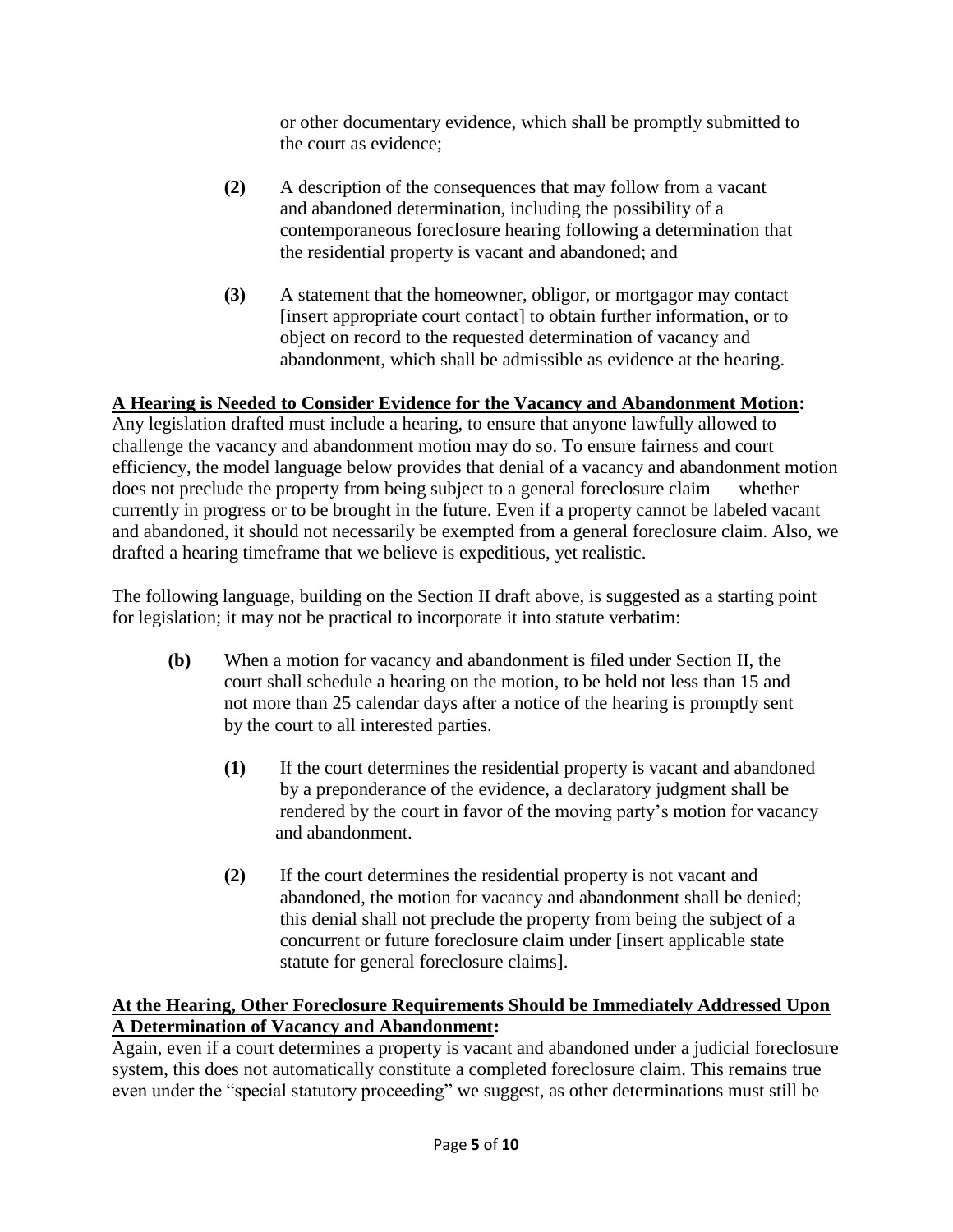or other documentary evidence, which shall be promptly submitted to the court as evidence;

- **(2)** A description of the consequences that may follow from a vacant and abandoned determination, including the possibility of a contemporaneous foreclosure hearing following a determination that the residential property is vacant and abandoned; and
- **(3)** A statement that the homeowner, obligor, or mortgagor may contact [insert appropriate court contact] to obtain further information, or to object on record to the requested determination of vacancy and abandonment, which shall be admissible as evidence at the hearing.

### **A Hearing is Needed to Consider Evidence for the Vacancy and Abandonment Motion:**

Any legislation drafted must include a hearing, to ensure that anyone lawfully allowed to challenge the vacancy and abandonment motion may do so. To ensure fairness and court efficiency, the model language below provides that denial of a vacancy and abandonment motion does not preclude the property from being subject to a general foreclosure claim — whether currently in progress or to be brought in the future. Even if a property cannot be labeled vacant and abandoned, it should not necessarily be exempted from a general foreclosure claim. Also, we drafted a hearing timeframe that we believe is expeditious, yet realistic.

The following language, building on the Section II draft above, is suggested as a starting point for legislation; it may not be practical to incorporate it into statute verbatim:

- **(b)** When a motion for vacancy and abandonment is filed under Section II, the court shall schedule a hearing on the motion, to be held not less than 15 and not more than 25 calendar days after a notice of the hearing is promptly sent by the court to all interested parties.
	- **(1)** If the court determines the residential property is vacant and abandoned by a preponderance of the evidence, a declaratory judgment shall be rendered by the court in favor of the moving party's motion for vacancy and abandonment.
	- **(2)** If the court determines the residential property is not vacant and abandoned, the motion for vacancy and abandonment shall be denied; this denial shall not preclude the property from being the subject of a concurrent or future foreclosure claim under [insert applicable state statute for general foreclosure claims].

### **At the Hearing, Other Foreclosure Requirements Should be Immediately Addressed Upon A Determination of Vacancy and Abandonment:**

Again, even if a court determines a property is vacant and abandoned under a judicial foreclosure system, this does not automatically constitute a completed foreclosure claim. This remains true even under the "special statutory proceeding" we suggest, as other determinations must still be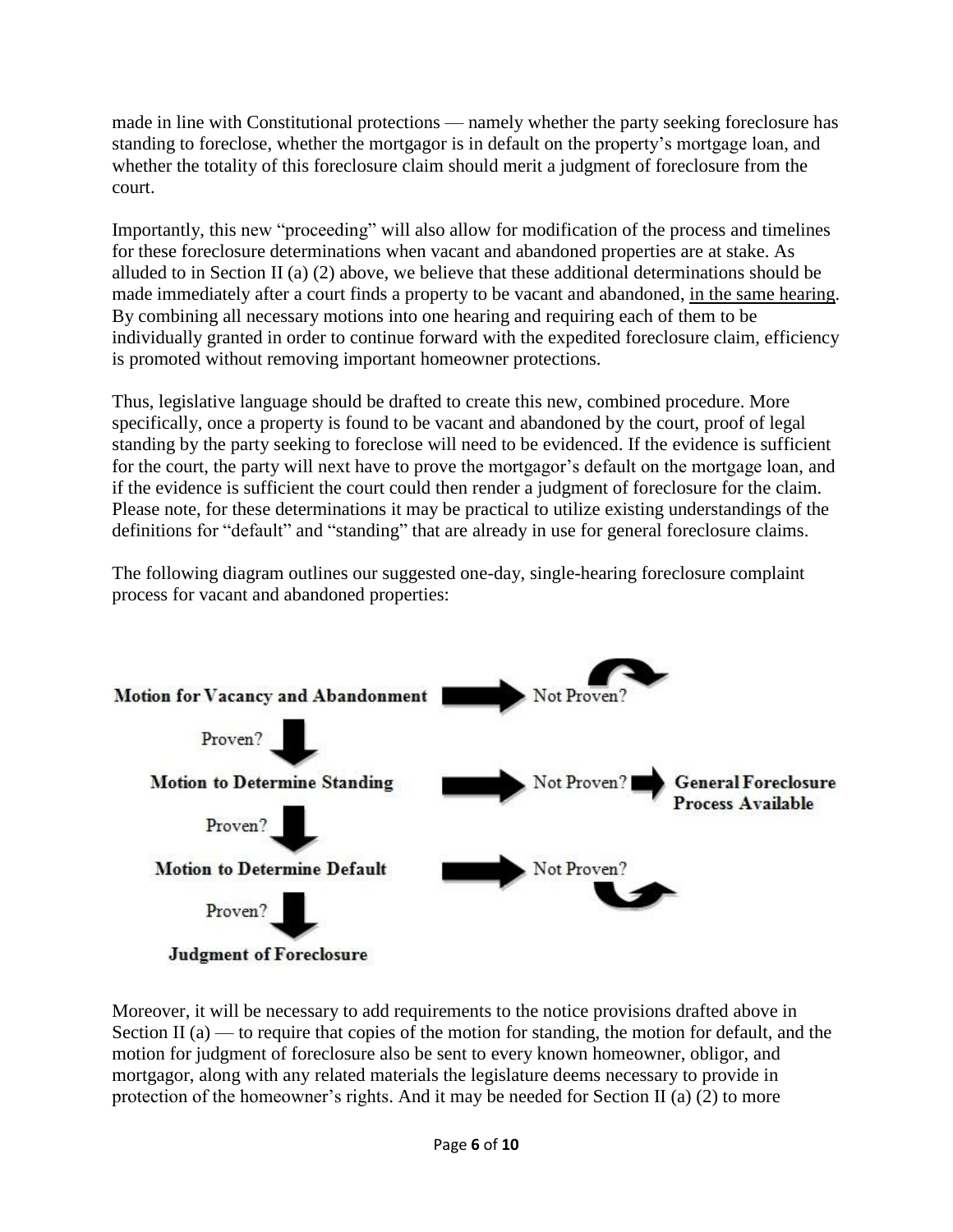made in line with Constitutional protections — namely whether the party seeking foreclosure has standing to foreclose, whether the mortgagor is in default on the property's mortgage loan, and whether the totality of this foreclosure claim should merit a judgment of foreclosure from the court.

Importantly, this new "proceeding" will also allow for modification of the process and timelines for these foreclosure determinations when vacant and abandoned properties are at stake. As alluded to in Section II (a) (2) above, we believe that these additional determinations should be made immediately after a court finds a property to be vacant and abandoned, in the same hearing. By combining all necessary motions into one hearing and requiring each of them to be individually granted in order to continue forward with the expedited foreclosure claim, efficiency is promoted without removing important homeowner protections.

Thus, legislative language should be drafted to create this new, combined procedure. More specifically, once a property is found to be vacant and abandoned by the court, proof of legal standing by the party seeking to foreclose will need to be evidenced. If the evidence is sufficient for the court, the party will next have to prove the mortgagor's default on the mortgage loan, and if the evidence is sufficient the court could then render a judgment of foreclosure for the claim. Please note, for these determinations it may be practical to utilize existing understandings of the definitions for "default" and "standing" that are already in use for general foreclosure claims.

The following diagram outlines our suggested one-day, single-hearing foreclosure complaint process for vacant and abandoned properties:



Moreover, it will be necessary to add requirements to the notice provisions drafted above in Section II (a) — to require that copies of the motion for standing, the motion for default, and the motion for judgment of foreclosure also be sent to every known homeowner, obligor, and mortgagor, along with any related materials the legislature deems necessary to provide in protection of the homeowner's rights. And it may be needed for Section II (a) (2) to more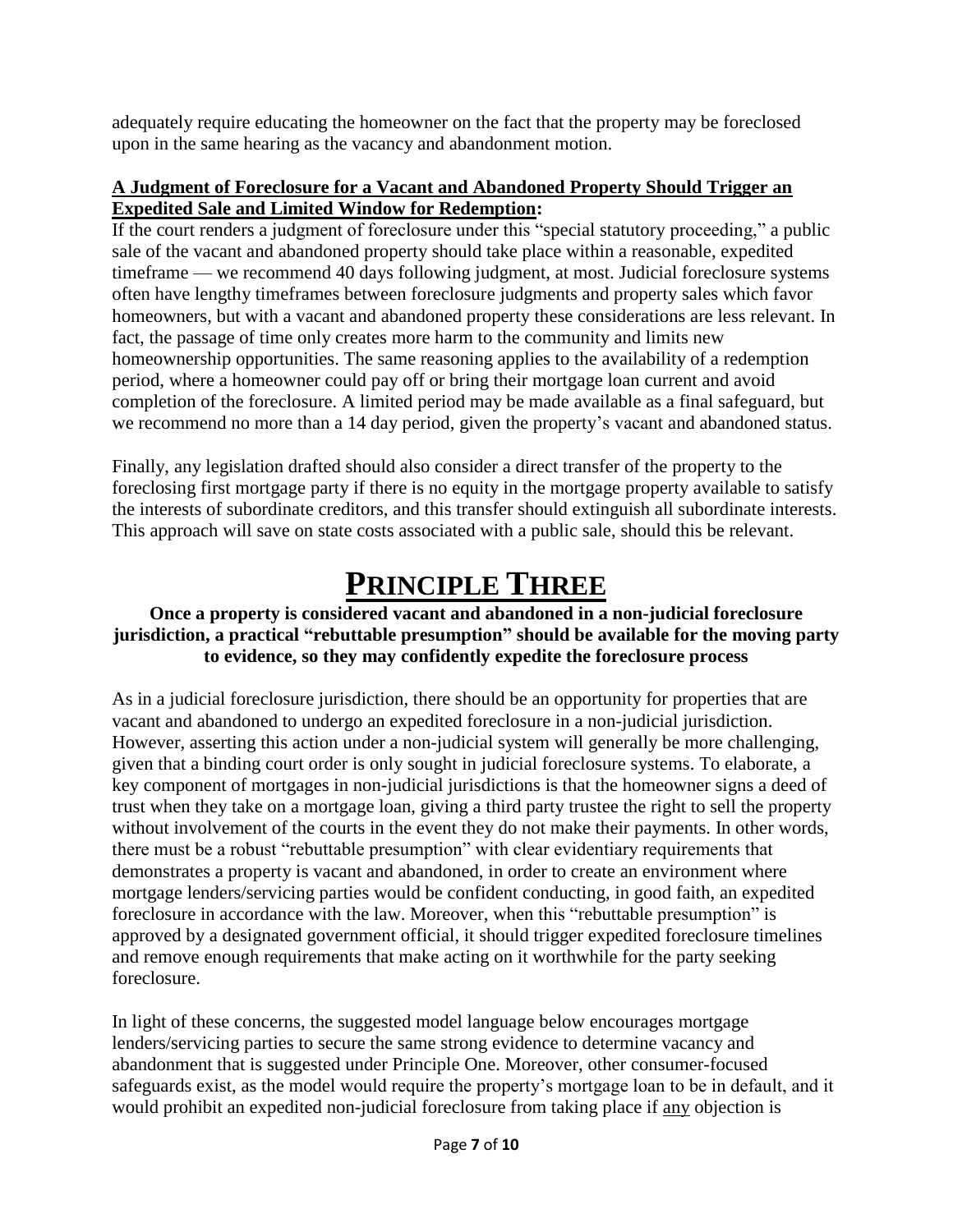adequately require educating the homeowner on the fact that the property may be foreclosed upon in the same hearing as the vacancy and abandonment motion.

#### **A Judgment of Foreclosure for a Vacant and Abandoned Property Should Trigger an Expedited Sale and Limited Window for Redemption:**

If the court renders a judgment of foreclosure under this "special statutory proceeding," a public sale of the vacant and abandoned property should take place within a reasonable, expedited timeframe — we recommend 40 days following judgment, at most. Judicial foreclosure systems often have lengthy timeframes between foreclosure judgments and property sales which favor homeowners, but with a vacant and abandoned property these considerations are less relevant. In fact, the passage of time only creates more harm to the community and limits new homeownership opportunities. The same reasoning applies to the availability of a redemption period, where a homeowner could pay off or bring their mortgage loan current and avoid completion of the foreclosure. A limited period may be made available as a final safeguard, but we recommend no more than a 14 day period, given the property's vacant and abandoned status.

Finally, any legislation drafted should also consider a direct transfer of the property to the foreclosing first mortgage party if there is no equity in the mortgage property available to satisfy the interests of subordinate creditors, and this transfer should extinguish all subordinate interests. This approach will save on state costs associated with a public sale, should this be relevant.

# **PRINCIPLE THREE**

#### **Once a property is considered vacant and abandoned in a non-judicial foreclosure jurisdiction, a practical "rebuttable presumption" should be available for the moving party to evidence, so they may confidently expedite the foreclosure process**

As in a judicial foreclosure jurisdiction, there should be an opportunity for properties that are vacant and abandoned to undergo an expedited foreclosure in a non-judicial jurisdiction. However, asserting this action under a non-judicial system will generally be more challenging, given that a binding court order is only sought in judicial foreclosure systems. To elaborate, a key component of mortgages in non-judicial jurisdictions is that the homeowner signs a deed of trust when they take on a mortgage loan, giving a third party trustee the right to sell the property without involvement of the courts in the event they do not make their payments. In other words, there must be a robust "rebuttable presumption" with clear evidentiary requirements that demonstrates a property is vacant and abandoned, in order to create an environment where mortgage lenders/servicing parties would be confident conducting, in good faith, an expedited foreclosure in accordance with the law. Moreover, when this "rebuttable presumption" is approved by a designated government official, it should trigger expedited foreclosure timelines and remove enough requirements that make acting on it worthwhile for the party seeking foreclosure.

In light of these concerns, the suggested model language below encourages mortgage lenders/servicing parties to secure the same strong evidence to determine vacancy and abandonment that is suggested under Principle One. Moreover, other consumer-focused safeguards exist, as the model would require the property's mortgage loan to be in default, and it would prohibit an expedited non-judicial foreclosure from taking place if any objection is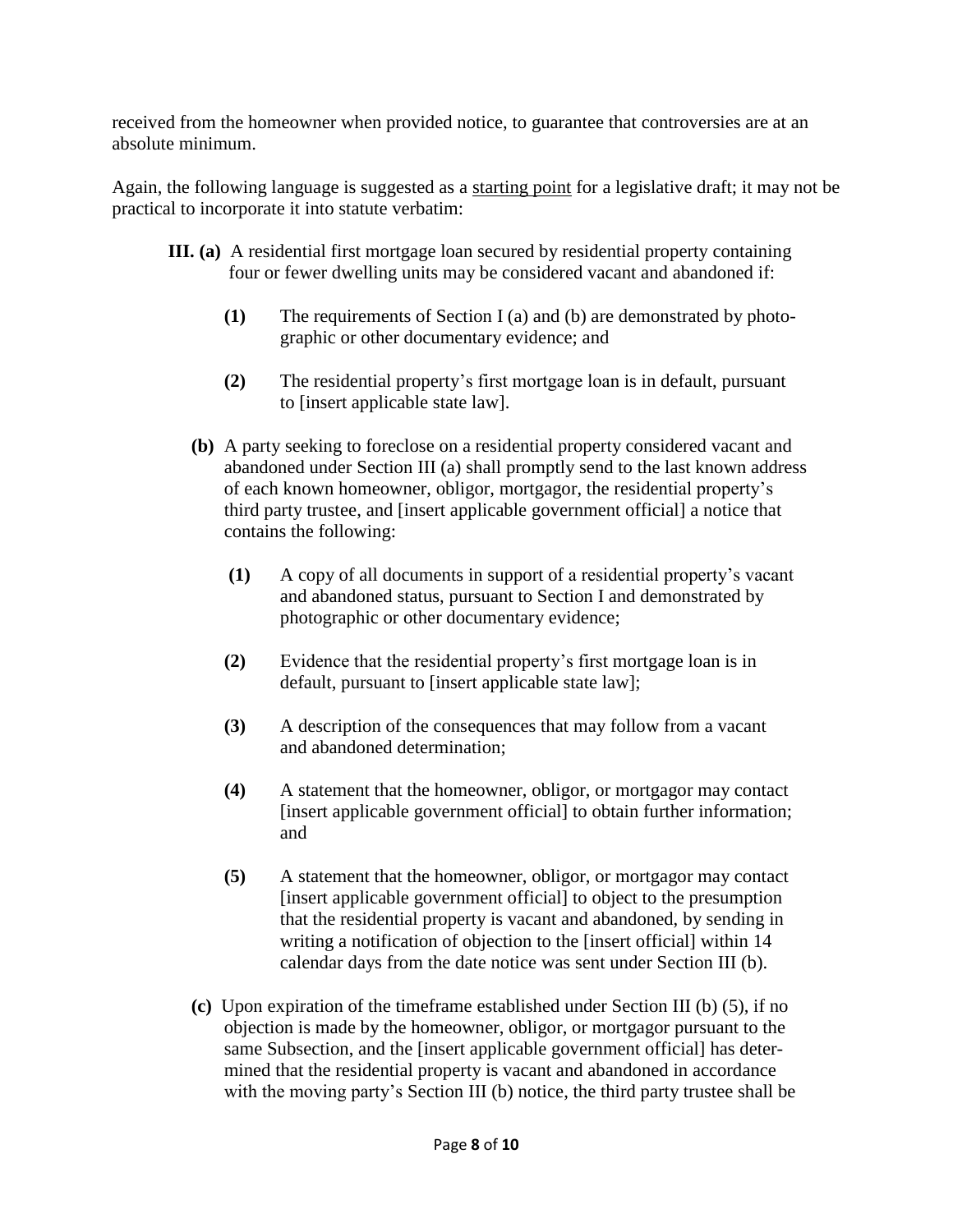received from the homeowner when provided notice, to guarantee that controversies are at an absolute minimum.

Again, the following language is suggested as a starting point for a legislative draft; it may not be practical to incorporate it into statute verbatim:

- **III. (a)** A residential first mortgage loan secured by residential property containing four or fewer dwelling units may be considered vacant and abandoned if:
	- **(1)** The requirements of Section I (a) and (b) are demonstrated by photo graphic or other documentary evidence; and
	- **(2)** The residential property's first mortgage loan is in default, pursuant to [insert applicable state law].
	- **(b)** A party seeking to foreclose on a residential property considered vacant and abandoned under Section III (a) shall promptly send to the last known address of each known homeowner, obligor, mortgagor, the residential property's third party trustee, and [insert applicable government official] a notice that contains the following:
		- **(1)** A copy of all documents in support of a residential property's vacant and abandoned status, pursuant to Section I and demonstrated by photographic or other documentary evidence;
		- **(2)** Evidence that the residential property's first mortgage loan is in default, pursuant to [insert applicable state law];
		- **(3)** A description of the consequences that may follow from a vacant and abandoned determination;
		- **(4)** A statement that the homeowner, obligor, or mortgagor may contact [insert applicable government official] to obtain further information; and
		- **(5)** A statement that the homeowner, obligor, or mortgagor may contact [insert applicable government official] to object to the presumption that the residential property is vacant and abandoned, by sending in writing a notification of objection to the [insert official] within 14 calendar days from the date notice was sent under Section III (b).
	- **(c)** Upon expiration of the timeframe established under Section III (b) (5), if no objection is made by the homeowner, obligor, or mortgagor pursuant to the same Subsection, and the [insert applicable government official] has deter mined that the residential property is vacant and abandoned in accordance with the moving party's Section III (b) notice, the third party trustee shall be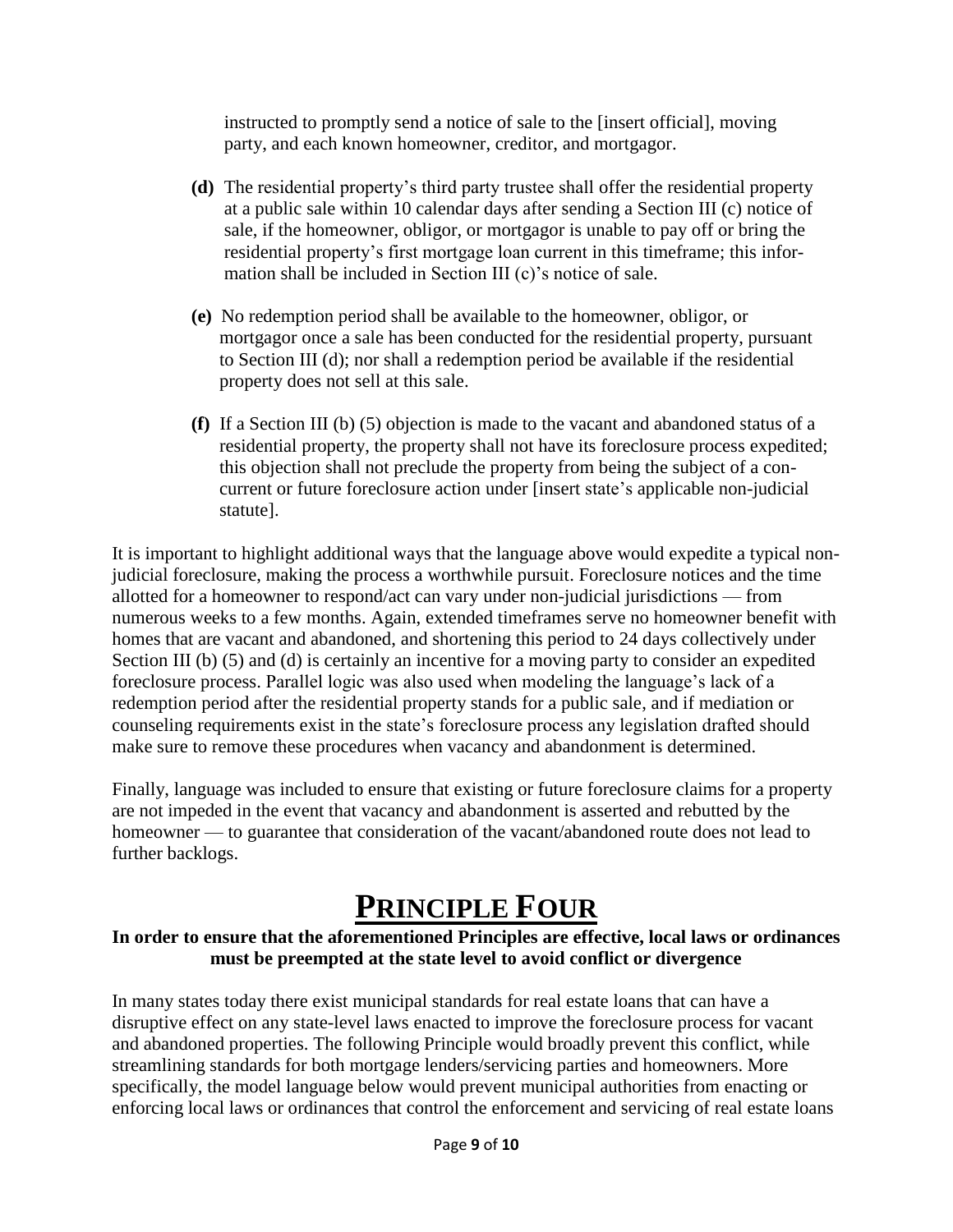instructed to promptly send a notice of sale to the [insert official], moving party, and each known homeowner, creditor, and mortgagor.

- **(d)** The residential property's third party trustee shall offer the residential property at a public sale within 10 calendar days after sending a Section III (c) notice of sale, if the homeowner, obligor, or mortgagor is unable to pay off or bring the residential property's first mortgage loan current in this timeframe; this infor mation shall be included in Section III (c)'s notice of sale.
- **(e)** No redemption period shall be available to the homeowner, obligor, or mortgagor once a sale has been conducted for the residential property, pursuant to Section III (d); nor shall a redemption period be available if the residential property does not sell at this sale.
- **(f)** If a Section III (b) (5) objection is made to the vacant and abandoned status of a residential property, the property shall not have its foreclosure process expedited; this objection shall not preclude the property from being the subject of a con current or future foreclosure action under [insert state's applicable non-judicial statute].

It is important to highlight additional ways that the language above would expedite a typical nonjudicial foreclosure, making the process a worthwhile pursuit. Foreclosure notices and the time allotted for a homeowner to respond/act can vary under non-judicial jurisdictions — from numerous weeks to a few months. Again, extended timeframes serve no homeowner benefit with homes that are vacant and abandoned, and shortening this period to 24 days collectively under Section III (b) (5) and (d) is certainly an incentive for a moving party to consider an expedited foreclosure process. Parallel logic was also used when modeling the language's lack of a redemption period after the residential property stands for a public sale, and if mediation or counseling requirements exist in the state's foreclosure process any legislation drafted should make sure to remove these procedures when vacancy and abandonment is determined.

Finally, language was included to ensure that existing or future foreclosure claims for a property are not impeded in the event that vacancy and abandonment is asserted and rebutted by the homeowner — to guarantee that consideration of the vacant/abandoned route does not lead to further backlogs.

# **PRINCIPLE FOUR**

#### **In order to ensure that the aforementioned Principles are effective, local laws or ordinances must be preempted at the state level to avoid conflict or divergence**

In many states today there exist municipal standards for real estate loans that can have a disruptive effect on any state-level laws enacted to improve the foreclosure process for vacant and abandoned properties. The following Principle would broadly prevent this conflict, while streamlining standards for both mortgage lenders/servicing parties and homeowners. More specifically, the model language below would prevent municipal authorities from enacting or enforcing local laws or ordinances that control the enforcement and servicing of real estate loans